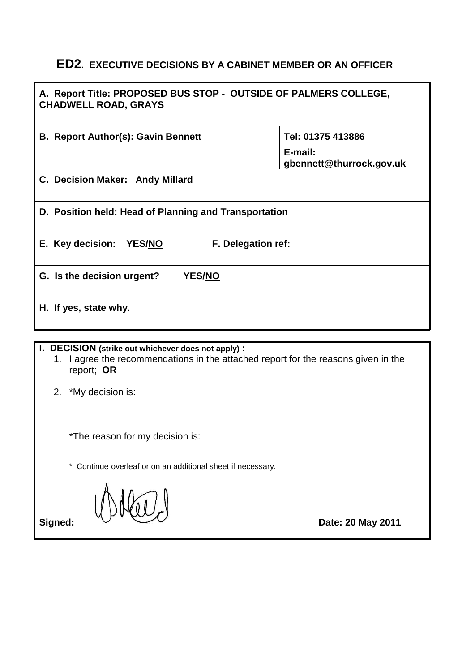# **ED2. EXECUTIVE DECISIONS BY A CABINET MEMBER OR AN OFFICER**

| A. Report Title: PROPOSED BUS STOP - OUTSIDE OF PALMERS COLLEGE,<br><b>CHADWELL ROAD, GRAYS</b>                                                        |                                                          |  |
|--------------------------------------------------------------------------------------------------------------------------------------------------------|----------------------------------------------------------|--|
| <b>B. Report Author(s): Gavin Bennett</b>                                                                                                              | Tel: 01375 413886<br>E-mail:<br>gbennett@thurrock.gov.uk |  |
| C. Decision Maker: Andy Millard                                                                                                                        |                                                          |  |
| D. Position held: Head of Planning and Transportation                                                                                                  |                                                          |  |
| E. Key decision: YES/NO<br>F. Delegation ref:                                                                                                          |                                                          |  |
| G. Is the decision urgent?<br>YES/NO                                                                                                                   |                                                          |  |
| H. If yes, state why.                                                                                                                                  |                                                          |  |
| I. DECISION (strike out whichever does not apply):<br>1. I agree the recommendations in the attached report for the reasons given in the<br>report; OR |                                                          |  |
| 2.<br>*My decision is:                                                                                                                                 |                                                          |  |
| *The reason for my decision is:                                                                                                                        |                                                          |  |
| * Continue overleaf or on an additional sheet if necessary.                                                                                            |                                                          |  |
| Signed:                                                                                                                                                | Date: 20 May 2011                                        |  |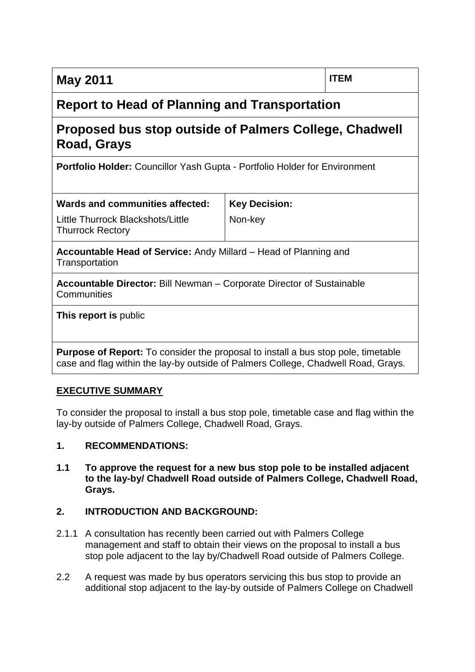# **Report to Head of Planning and Transportation**

# **Proposed bus stop outside of Palmers College, Chadwell Road, Grays**

**Portfolio Holder:** Councillor Yash Gupta - Portfolio Holder for Environment

| Wards and communities affected:                              | Key Decision: |
|--------------------------------------------------------------|---------------|
| Little Thurrock Blackshots/Little<br><b>Thurrock Rectory</b> | Non-key       |

**Accountable Head of Service:** Andy Millard – Head of Planning and **Transportation** 

**Accountable Director:** Bill Newman – Corporate Director of Sustainable **Communities** 

**This report is** public

**Purpose of Report:** To consider the proposal to install a bus stop pole, timetable case and flag within the lay-by outside of Palmers College, Chadwell Road, Grays.

### **EXECUTIVE SUMMARY**

To consider the proposal to install a bus stop pole, timetable case and flag within the lay-by outside of Palmers College, Chadwell Road, Grays.

### **1. RECOMMENDATIONS:**

**1.1 To approve the request for a new bus stop pole to be installed adjacent to the lay-by/ Chadwell Road outside of Palmers College, Chadwell Road, Grays.**

### **2. INTRODUCTION AND BACKGROUND:**

- 2.1.1 A consultation has recently been carried out with Palmers College management and staff to obtain their views on the proposal to install a bus stop pole adjacent to the lay by/Chadwell Road outside of Palmers College.
- 2.2 A request was made by bus operators servicing this bus stop to provide an additional stop adjacent to the lay-by outside of Palmers College on Chadwell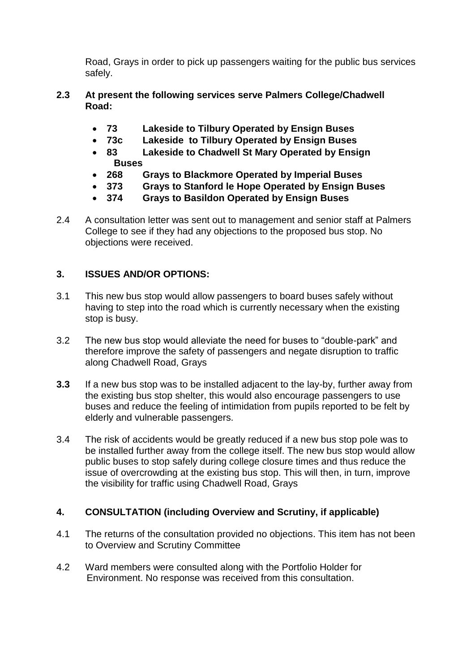Road, Grays in order to pick up passengers waiting for the public bus services safely.

- **2.3 At present the following services serve Palmers College/Chadwell Road:**
	- **73 Lakeside to Tilbury Operated by Ensign Buses**
	- **73c Lakeside to Tilbury Operated by Ensign Buses**
	- **83 Lakeside to Chadwell St Mary Operated by Ensign Buses**
	- **268 Grays to Blackmore Operated by Imperial Buses**
	- **373 Grays to Stanford le Hope Operated by Ensign Buses**
	- **374 Grays to Basildon Operated by Ensign Buses**
- 2.4 A consultation letter was sent out to management and senior staff at Palmers College to see if they had any objections to the proposed bus stop. No objections were received.

## **3. ISSUES AND/OR OPTIONS:**

- 3.1 This new bus stop would allow passengers to board buses safely without having to step into the road which is currently necessary when the existing stop is busy.
- 3.2 The new bus stop would alleviate the need for buses to "double-park" and therefore improve the safety of passengers and negate disruption to traffic along Chadwell Road, Grays
- **3.3** If a new bus stop was to be installed adjacent to the lay-by, further away from the existing bus stop shelter, this would also encourage passengers to use buses and reduce the feeling of intimidation from pupils reported to be felt by elderly and vulnerable passengers.
- 3.4 The risk of accidents would be greatly reduced if a new bus stop pole was to be installed further away from the college itself. The new bus stop would allow public buses to stop safely during college closure times and thus reduce the issue of overcrowding at the existing bus stop. This will then, in turn, improve the visibility for traffic using Chadwell Road, Grays

### **4. CONSULTATION (including Overview and Scrutiny, if applicable)**

- 4.1 The returns of the consultation provided no objections. This item has not been to Overview and Scrutiny Committee
- 4.2 Ward members were consulted along with the Portfolio Holder for Environment. No response was received from this consultation.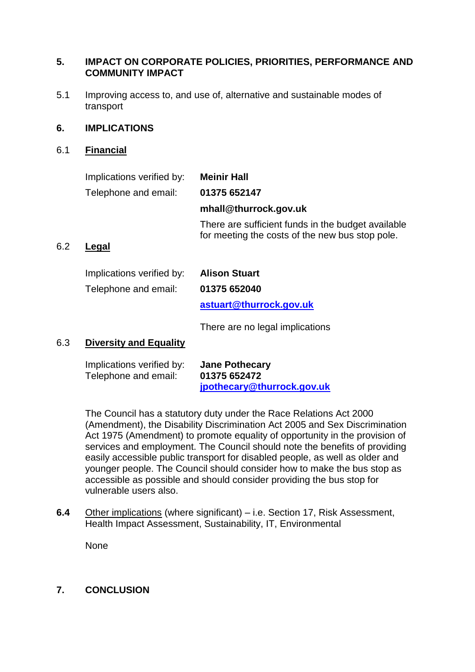#### **5. IMPACT ON CORPORATE POLICIES, PRIORITIES, PERFORMANCE AND COMMUNITY IMPACT**

5.1 Improving access to, and use of, alternative and sustainable modes of transport

#### **6. IMPLICATIONS**

6.1 **Financial**

| Implications verified by: | <b>Meinir Hall</b>                                                                                    |
|---------------------------|-------------------------------------------------------------------------------------------------------|
| Telephone and email:      | 01375 652147                                                                                          |
|                           | mhall@thurrock.gov.uk                                                                                 |
|                           | There are sufficient funds in the budget available<br>for meeting the costs of the new bus stop pole. |
| Legal                     |                                                                                                       |

6.2 **Legal**

| Implications verified by: | <b>Alison Stuart</b>    |
|---------------------------|-------------------------|
| Telephone and email:      | 01375 652040            |
|                           | astuart@thurrock.gov.uk |
|                           |                         |

There are no legal implications

### 6.3 **Diversity and Equality**

| Implications verified by: | <b>Jane Pothecary</b>      |
|---------------------------|----------------------------|
| Telephone and email:      | 01375 652472               |
|                           | jpothecary@thurrock.gov.uk |

The Council has a statutory duty under the Race Relations Act 2000 (Amendment), the Disability Discrimination Act 2005 and Sex Discrimination Act 1975 (Amendment) to promote equality of opportunity in the provision of services and employment. The Council should note the benefits of providing easily accessible public transport for disabled people, as well as older and younger people. The Council should consider how to make the bus stop as accessible as possible and should consider providing the bus stop for vulnerable users also.

**6.4** Other implications (where significant) – i.e. Section 17, Risk Assessment, Health Impact Assessment, Sustainability, IT, Environmental

None

### **7. CONCLUSION**